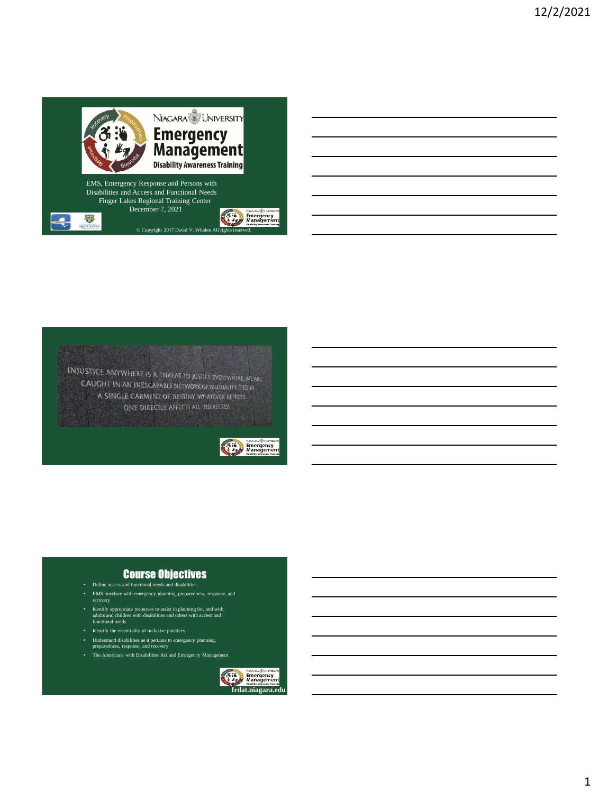

**INJUSTICE ANYWHERE IS A THREAT TO JUSTICE EVERYWHERE WE ARE** CAUGHT IN AN INESCAPABLE NETWORK OF MUTUALITY, THE IN A SINGLE GARMENT OF DESTINY. WHATEVER AFFECTS ONE DIRECTLY, AFFECTS ALL INDIRECTLY.



#### Course Objectives

- Define access and functional needs and disabilities
- EMS interface with emergency planning, preparedness, response, and recovery
- Identify appropriate resources to assist in planning for, and with, adults and children with disabilities and others with access and functional needs
- Identify the essentiality of inclusive practices
- 
- Understand disabilities as it pertains to emergency planning, preparedness, response, and recovery
- The Americans with Disabilities Act and Emergency Management

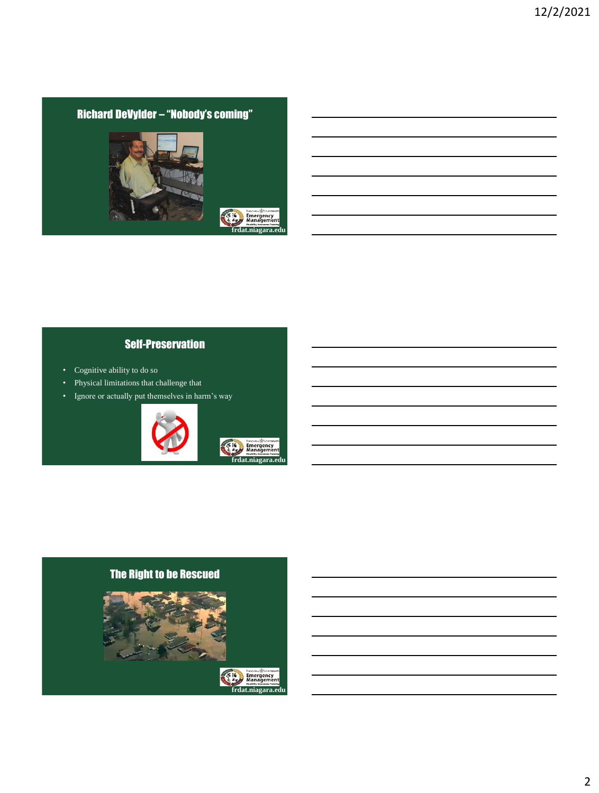# Richard DeVylder – "Nobody's coming"



# Self-Preservation

- Cognitive ability to do so
- Physical limitations that challenge that
- Ignore or actually put themselves in harm's way



## The Right to be Rescued

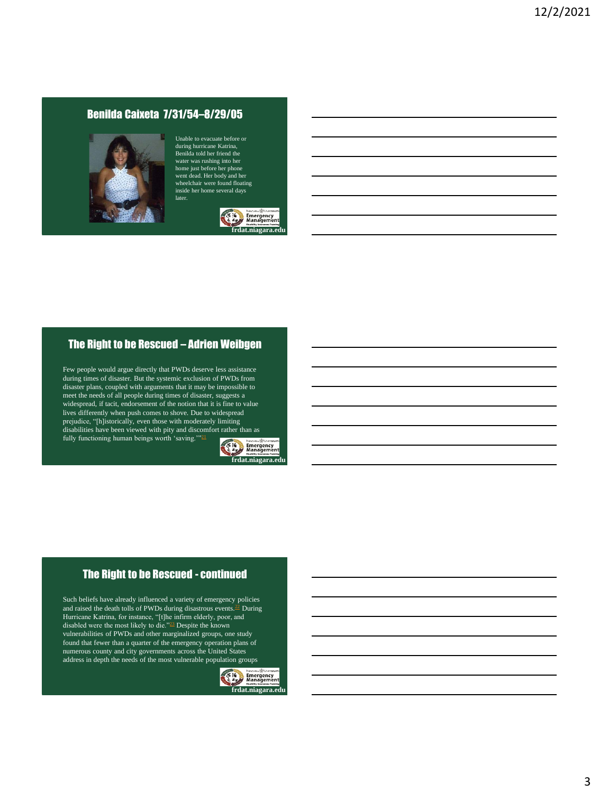## Benilda Caixeta 7/31/54–8/29/05



Unable to evacuate before or during hurricane Katrina, Benilda told her friend the water was rushing into her home just before her phone went dead. Her body and her wheelchair were found floating inside her home several days later.



## The Right to be Rescued – Adrien Weibgen

Few people would argue directly that PWDs deserve less assistance during times of disaster. But the systemic exclusion of PWDs from disaster plans, coupled with arguments that it may be impossible to meet the needs of all people during times of disaster, suggests a widespread, if tacit, endorsement of the notion that it is fine to value lives differently when push comes to shove. Due to widespread prejudice, "[h]istorically, even those with moderately limiting disabilities have been viewed with pity and discomfort rather than as fully functioning human beings worth 'saving."<sup>[21](https://www.yalelawjournal.org/note/the-right-to-be-rescued#_ftnref21)</sup>



# The Right to be Rescued - continued

Such beliefs have already influenced a variety of emergency policies and raised the death tolls of PWDs during disastrous events. $\frac{22}{2}$  $\frac{22}{2}$  $\frac{22}{2}$  During Hurricane Katrina, for instance, "[t]he infirm elderly, poor, and disabled were the most likely to die."[23](https://www.yalelawjournal.org/note/the-right-to-be-rescued#_ftnref23) Despite the known vulnerabilities of PWDs and other marginalized groups, one study found that fewer than a quarter of the emergency operation plans of numerous county and city governments across the United States address in depth the needs of the most vulnerable population groups

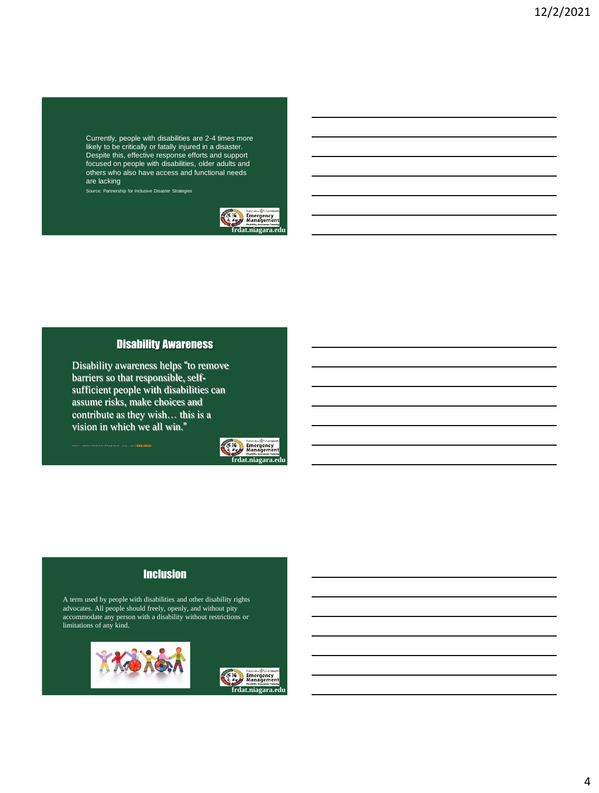Currently, people with disabilities are 2-4 times more likely to be critically or fatally injured in a disaster. Despite this, effective response efforts and support focused on people with disabilities, older adults and others who also have access and functional needs are lacking

Source: Partnership for Inclusive Disaster Strategies



#### Disability Awareness

Disability awareness helps "to remove barriers so that responsible, selfsufficient people with disabilities can assume risks, make choices and contribute as they wish… this is a vision in which we all win."

Source: Canadian Association of Independent Living Centers, [www.cailc.ca](http://www.cailc.ca/)



## Inclusion

A term used by people with disabilities and other disability rights advocates. All people should freely, openly, and without pity accommodate any person with a disability without restrictions or limitations of any kind.



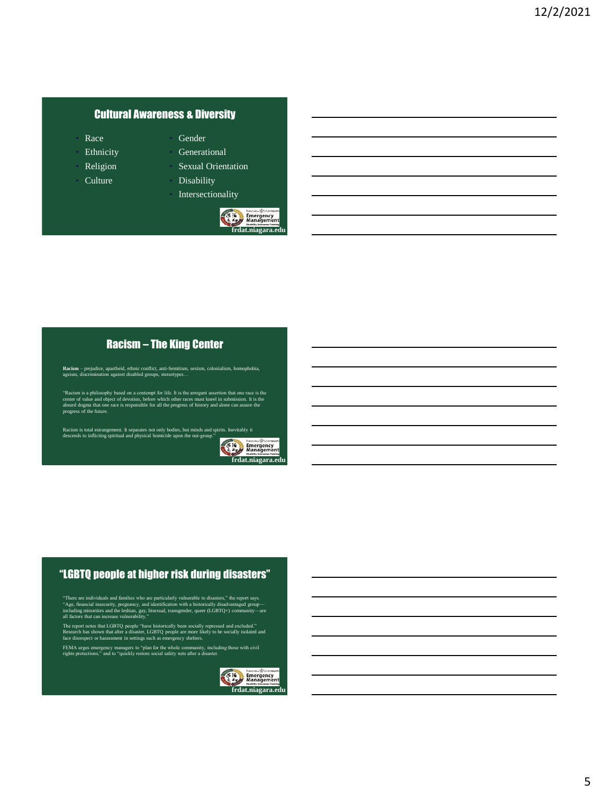## Cultural Awareness & Diversity

- Race
- **Ethnicity**
- **Religion**
- Culture
- **Generational**

• Gender

- Sexual Orientation • Disability
- **Intersectionality**



## Racism – The King Center

**Racism** – prejudice, apartheid, ethnic conflict, anti-Semitism, sexism, colonialism, homophobia, ageism, discrimination against disabled groups, stereotypes…

"Racism is a philosophy based on a contempt for life. It is the arrogant assertion that one race is the center of value and object of devotion, before which other races must kneel in submission. It is the absurd dogma that

Racism is total estrangement. It separates not only bodies, but minds and spirits. Inevitably it descends to inflicting spiritual and physical homicide upon the out-group."



## "LGBTQ people at higher risk during disasters"

"There are individuals and families who are particularly vulnerable to disasters," the report says.<br>"Age, financial insecurity, pregnancy, and identification with a historically disadvantaged group—<br>including minorities a

The report notes that LGBTQ people "have historically been socially repressed and excluded."<br>Research has shown that after a disaster, LGBTQ people are more likely to be socially isolated and<br>face disrespect or harassment

FEMA urges emergency managers to "plan for the whole community, including those with civil rights protections," and to "quickly restore social safety nets after a disaster.

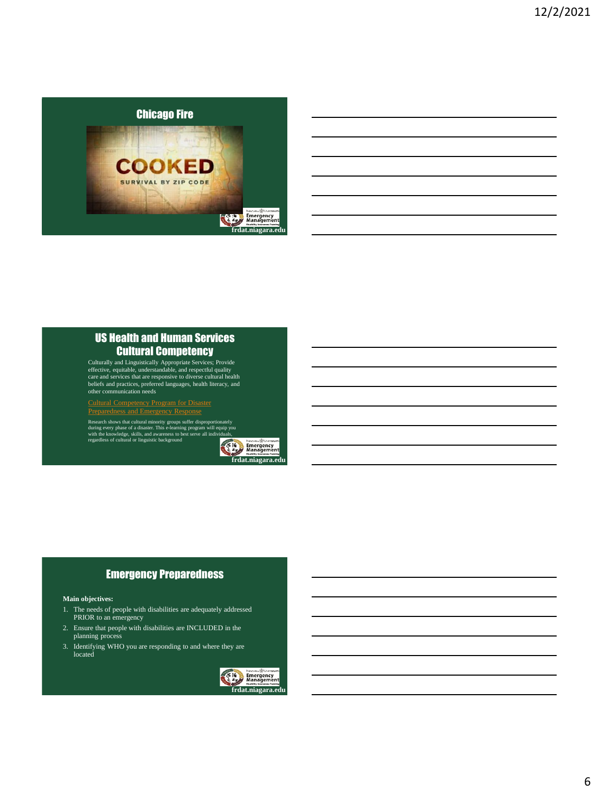

## US Health and Human Services Cultural Competency

Culturally and Linguistically Appropriate Services; Provide effective, equitable, understandable, and respectful quality care and services that are responsive to diverse cultural health beliefs and practices, preferred languages, health literacy, and other communication needs

Cultural Competency Program for Disaster [Preparedness and Emergency Response](https://www.thinkculturalhealth.hhs.gov/education/disaster-personnel) 

Research shows that cultural minority groups suffer disproportionately<br>during every phase of a disaster. This e-learning program will equip you<br>with the knowledge, skills, and awareness to best serve all individuals,<br>regar



## Emergency Preparedness

#### **Main objectives:**

- 1. The needs of people with disabilities are adequately addressed PRIOR to an emergency
- 2. Ensure that people with disabilities are INCLUDED in the planning process
- 3. Identifying WHO you are responding to and where they are located

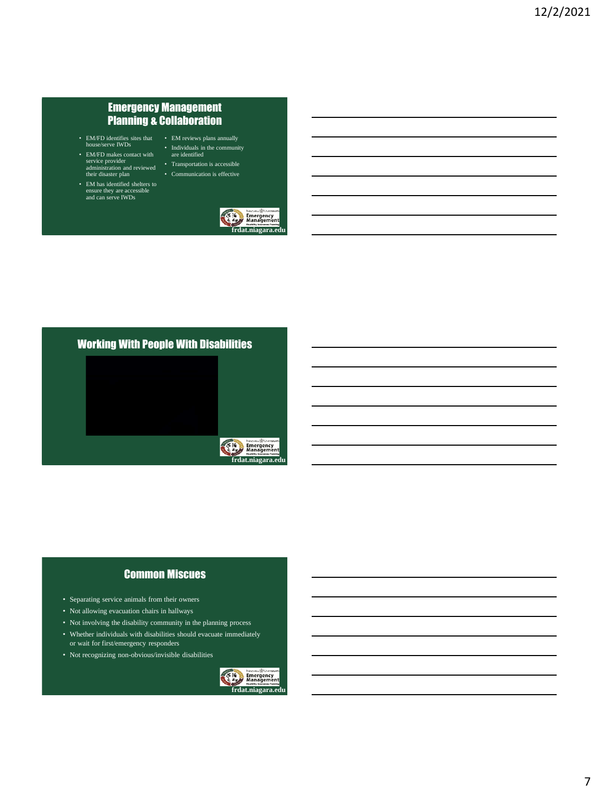## Emergency Management Planning & Collaboration

- 
- EM/FD makes contact with service provider administration and reviewed their disaster plan
- EM has identified shelters to ensure they are accessible and can serve IWDs



• Transportation is accessible • Communication is effective





## Common Miscues

- Separating service animals from their owners
- Not allowing evacuation chairs in hallways
- Not involving the disability community in the planning process
- Whether individuals with disabilities should evacuate immediately or wait for first/emergency responders
- Not recognizing non-obvious/invisible disabilities



**frdat.niagara.edu**

Emergency<br>Manageme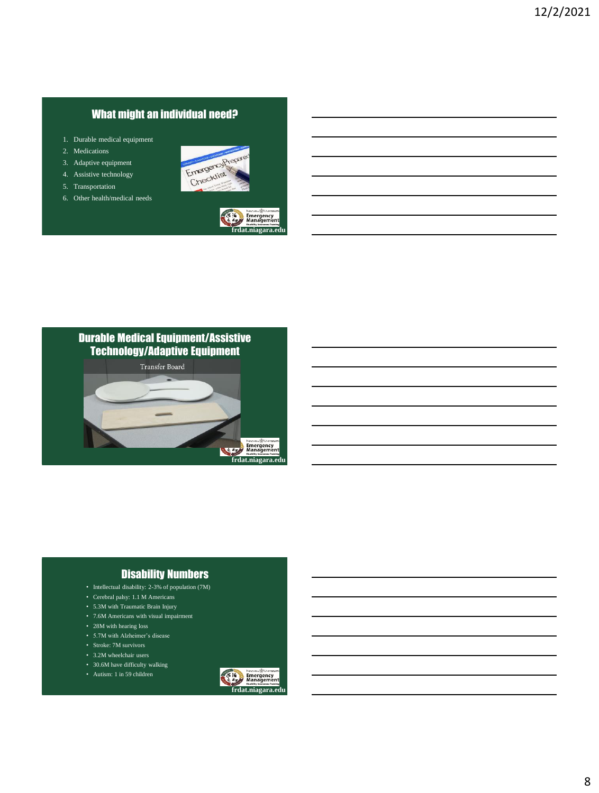# What might an individual need?

- 1. Durable medical equipment
- 2. Medications
- 3. Adaptive equipment
- 4. Assistive technology
- 5. Transportation
- 6. Other health/medical needs









## Disability Numbers

- Intellectual disability: 2-3% of population (7M)
- Cerebral palsy: 1.1 M Americans
- 5.3M with Traumatic Brain Injury
- 7.6M Americans with visual impairment
- 28M with hearing loss
- 5.7M with Alzheimer's disease
- Stroke: 7M survivors
- 3.2M wheelchair users
- 30.6M have difficulty walking • Autism: 1 in 59 children
- **Emergency**<br>Managemer **frdat.niagara.**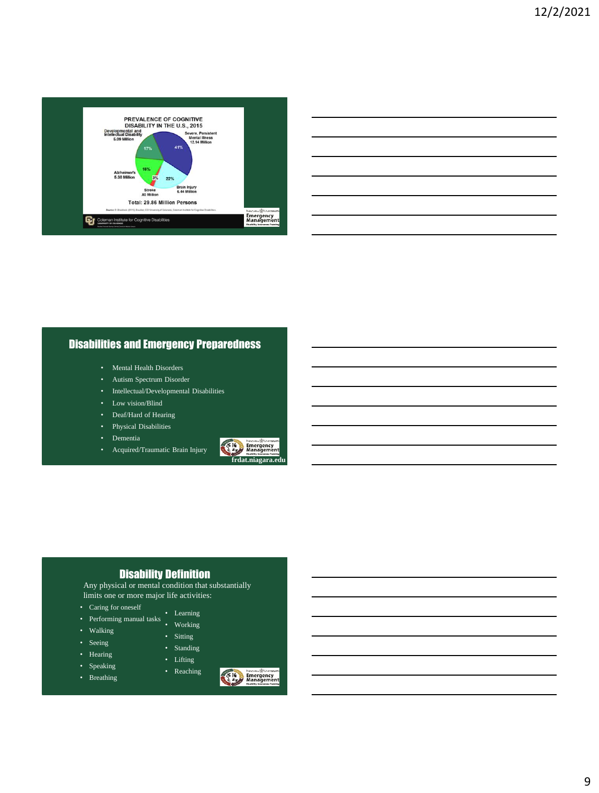

# Disabilities and Emergency Preparedness

- Mental Health Disorders
- Autism Spectrum Disorder
- Intellectual/Developmental Disabilities
- Low vision/Blind
- Deaf/Hard of Hearing
- Physical Disabilities
- Dementia
- Acquired/Traumatic Brain Injury



## Disability Definition

Any physical or mental condition that substantially limits one or more major life activities:

- Caring for oneself
- Learning • Performing manual tasks • Working
	- Sitting

• Standing • Lifting • Reaching

- Walking • Seeing
	-
- Hearing • Speaking
- Breathing

**Emergency**<br> **Emergency**<br> **Managemen**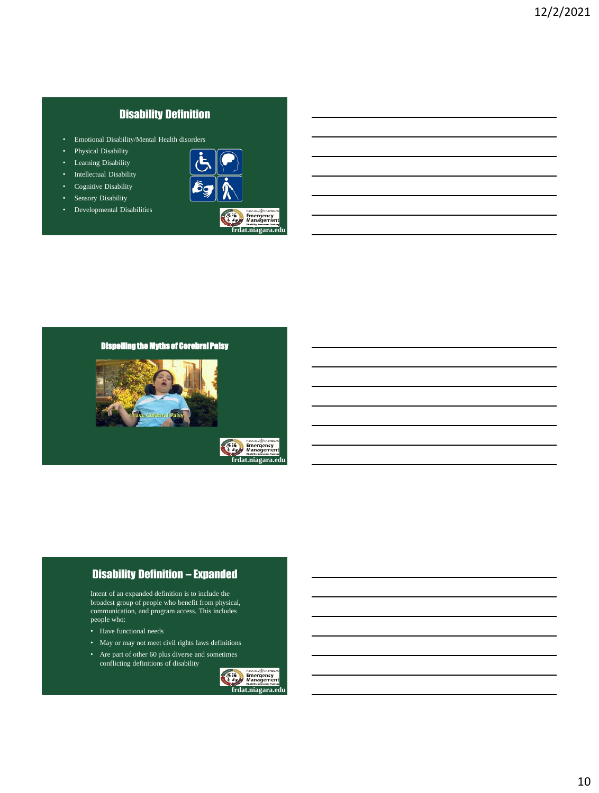# Disability Definition

- Emotional Disability/Mental Health disorders
- Physical Disability
- Learning Disability
- Intellectual Disability
- Cognitive Disability
- Sensory Disability
- Developmental Disabilities



**f**at.niagara

## Dispelling the Myths of Cerebral Palsy



## Disability Definition – Expanded

Intent of an expanded definition is to include the broadest group of people who benefit from physical, communication, and program access. This includes people who:

- Have functional needs
- May or may not meet civil rights laws definitions
- Are part of other 60 plus diverse and sometimes conflicting definitions of disability

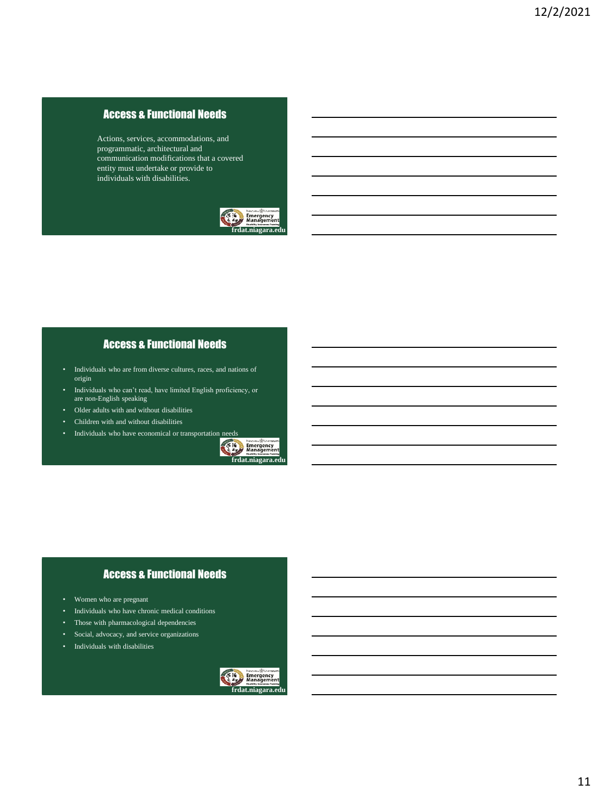## Access & Functional Needs

Actions, services, accommodations, and programmatic, architectural and communication modifications that a covered entity must undertake or provide to individuals with disabilities.



## Access & Functional Needs

- Individuals who are from diverse cultures, races, and nations of origin
- Individuals who can't read, have limited English proficiency, or are non-English speaking
- Older adults with and without disabilities
- Children with and without disabilities
- Individuals who have economical or transportation needs<br> **Examples** Energency<br> **Examples**



# Access & Functional Needs

- Women who are pregnant
- Individuals who have chronic medical conditions
- Those with pharmacological dependencies
- Social, advocacy, and service organizations
- Individuals with disabilities

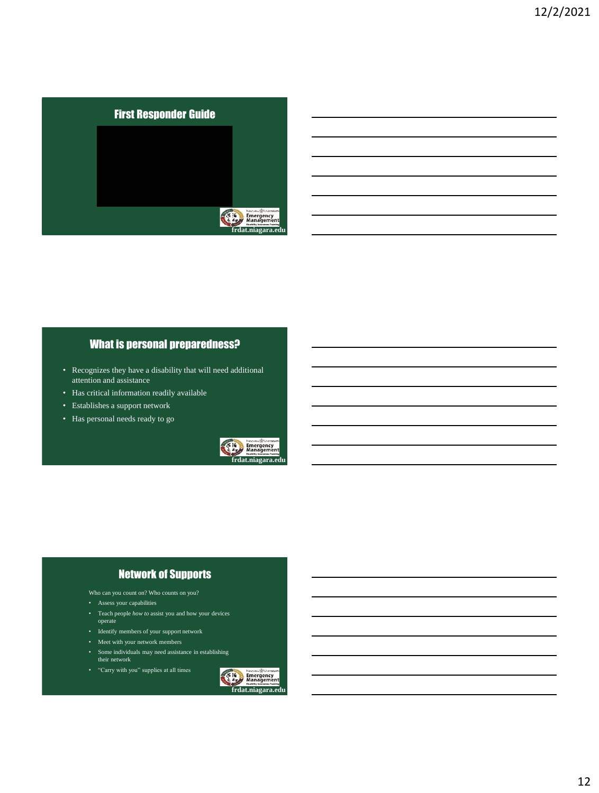

## What is personal preparedness?

- Recognizes they have a disability that will need additional attention and assistance
- Has critical information readily available
- Establishes a support network
- Has personal needs ready to go



## Network of Supports

- Who can you count on? Who counts on you?
- Assess your capabilities
- Teach people *how to* assist you and how your devices operate
- Identify members of your support network
- Meet with your network members
- Some individuals may need assistance in establishing their network
- "Carry with you" supplies at all times

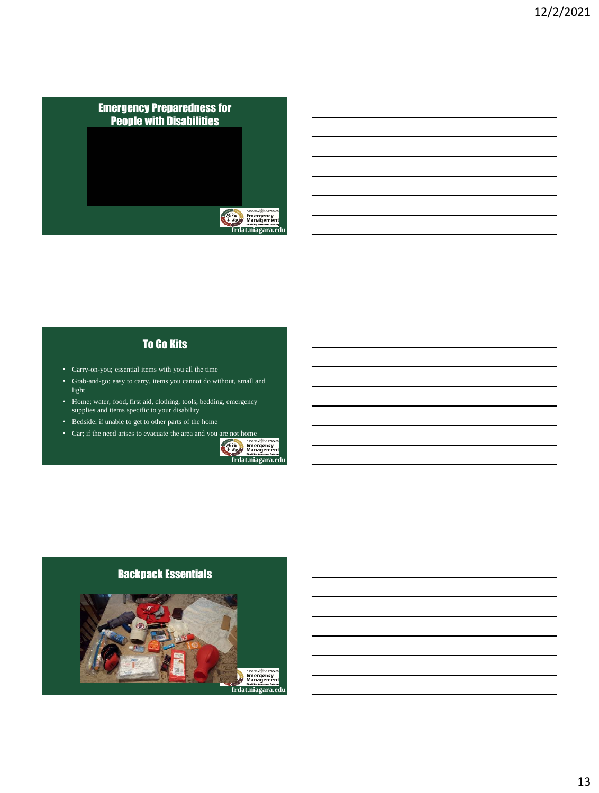

# To Go Kits

- Carry-on-you; essential items with you all the time
- Grab-and-go; easy to carry, items you cannot do without, small and light
- Home; water, food, first aid, clothing, tools, bedding, emergency supplies and items specific to your disability
- Bedside; if unable to get to other parts of the home
- Car; if the need arises to evacuate the area and you are not home



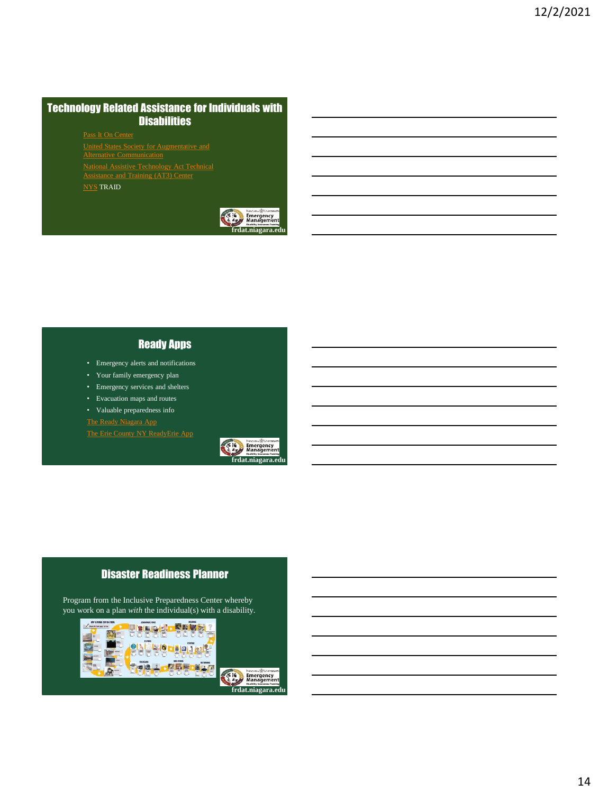## Technology Related Assistance for Individuals with **Disabilities**

[Pass It On Center](http://www.passitoncenter.org/)

[United States Society for Augmentative and](http://www.ussaac.org/) 

[National Assistive Technology Act Technical](https://www.at3center.net/) Assistance and Training (AT3) Center

[NYS](https://www.justicecenter.ny.gov/traid-program) TRAID



#### Ready Apps

- Emergency alerts and notifications
- Your family emergency plan
- Emergency services and shelters
- Evacuation maps and routes

• Valuable preparedness info

[The Erie County NY ReadyErie](http://readydl.com/landing/eoc36029/index.html) App



## Disaster Readiness Planner

Program from the Inclusive Preparedness Center whereby you work on a plan *with* the individual(s) with a disability.



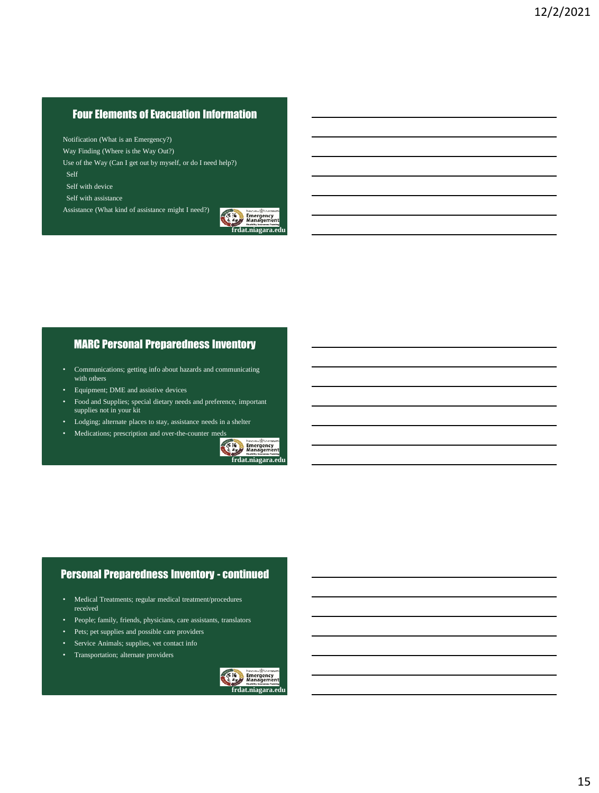## Four Elements of Evacuation Information

Notification (What is an Emergency?)

Way Finding (Where is the Way Out?)

Use of the Way (Can I get out by myself, or do I need help?)

Self

Self with device

Self with assistance

Assistance (What kind of assistance might I need?)



### MARC Personal Preparedness Inventory

- Communications; getting info about hazards and communicating with others
- Equipment; DME and assistive devices
- Food and Supplies; special dietary needs and preference, important supplies not in your kit
- Lodging; alternate places to stay, assistance needs in a shelter
- Medications; prescription and over-the-counter meds



## Personal Preparedness Inventory - continued

- Medical Treatments; regular medical treatment/procedures received
- People; family, friends, physicians, care assistants, translators
- Pets; pet supplies and possible care providers
- Service Animals; supplies, vet contact info
- Transportation; alternate providers

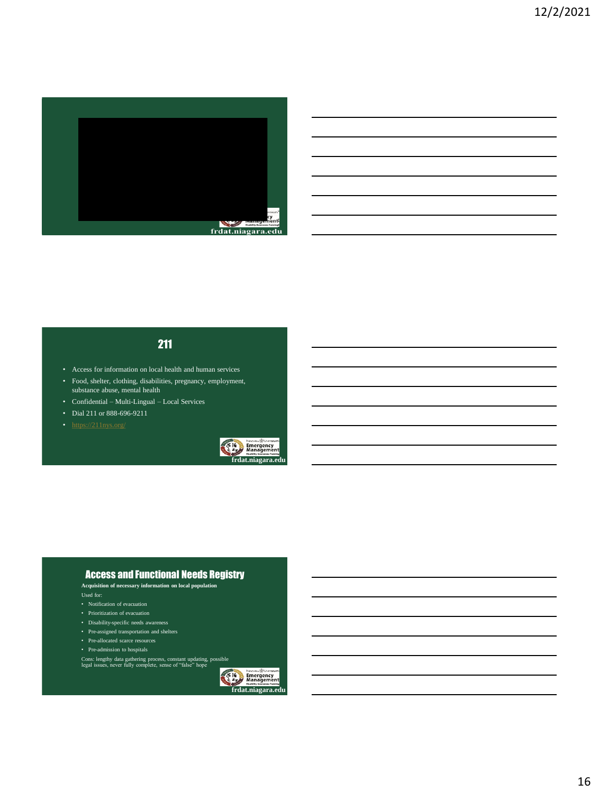

## 211

- Access for information on local health and human services
- Food, shelter, clothing, disabilities, pregnancy, employment, substance abuse, mental health
- Confidential Multi-Lingual Local Services
- Dial 211 or 888-696-9211
- 



#### Access and Functional Needs Registry

**Acquisition of necessary information on local population**

- 
- Notification of evacuation
- Prioritization of evacuation
- Disability-specific needs awareness
- Pre-assigned transportation and shelters
- Pre-allocated scarce resources
- Pre-admission to hospitals
- Cons: lengthy data gathering process, constant updating, possible legal issues, never fully complete, sense of "false" hope



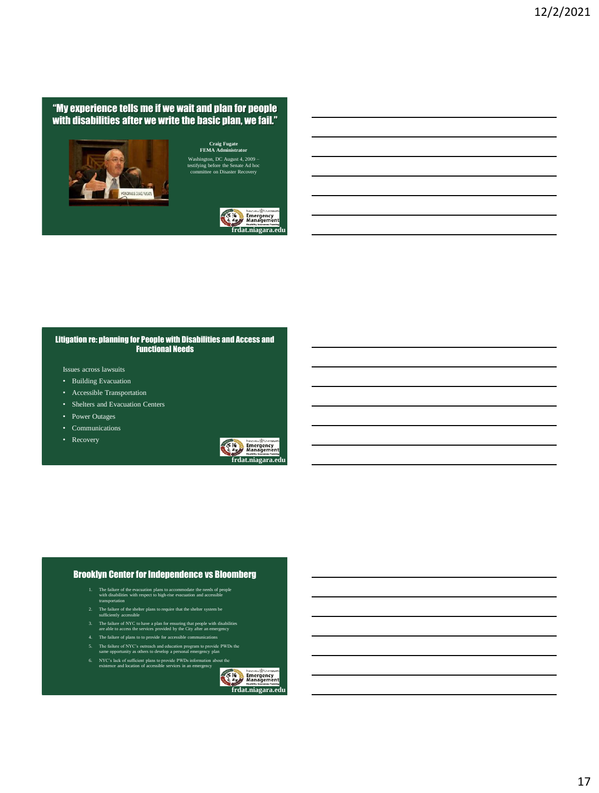#### "My experience tells me if we wait and plan for people with disabilities after we write the basic plan, we fail."



Washington, DC August 4, 2009 – testifying before the Senate Ad hoc committee on Disaster Recovery



#### Litigation re: planning for People with Disabilities and Access and Functional Needs

Issues across lawsuits

- Building Evacuation
- Accessible Transportation
- Shelters and Evacuation Centers
- Power Outages
- Communications
- Recovery



#### Brooklyn Center for Independence vs Bloomberg

- 1. The failure of the evacuation plans to accommodate the needs of people with disabilities with respect to high-rise evacuation and accessible transportation
- 2. The failure of the shelter plans to require that the shelter system be sufficiently accessible
- 
- 3. The failure of NYC to have a plan for ensuring that people with disabilities are able to access the services provided by the City after an emergency
- 4. The failure of plans to to provide for accessible communications
- 5. The failure of NYC's outreach and education program to provide PWDs the same opportunity as others to develop a personal emergency plan
- 6. NYC's lack of sufficient plans to provide PWDs information about the existence and location of accessible services in an emergency

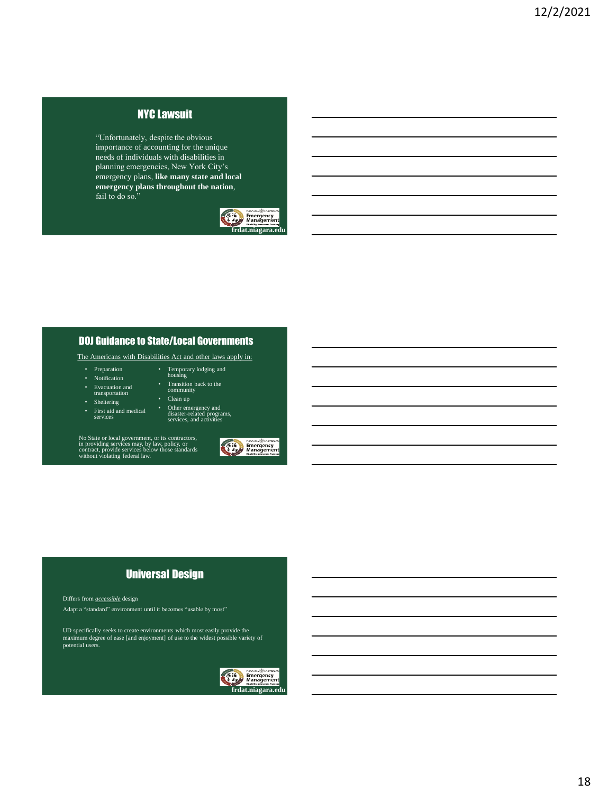## NYC Lawsuit

"Unfortunately, despite the obvious importance of accounting for the unique needs of individuals with disabilities in planning emergencies, New York City's emergency plans, **like many state and local emergency plans throughout the nation**, fail to do so."



#### DOJ Guidance to State/Local Governments

The Americans with Disabilities Act and other laws apply in:

• Temporary lodging and housing • Transition back to the community • Clean up

• Other emergency and disaster-related programs, services, and activities

- Preparation
- Notification
- Evacuation and transportation
	-
- Sheltering
- First aid and medical

No State or local government, or its contractors, in providing services may, by law, policy, or contract, provide services below those standards without violating federal law.



## Universal Design

Differs from *accessible* design

Adapt a "standard" environment until it becomes "usable by most"

UD specifically seeks to create environments which most easily provide the maximum degree of ease [and enjoyment] of use to the widest possible variety of potential users.

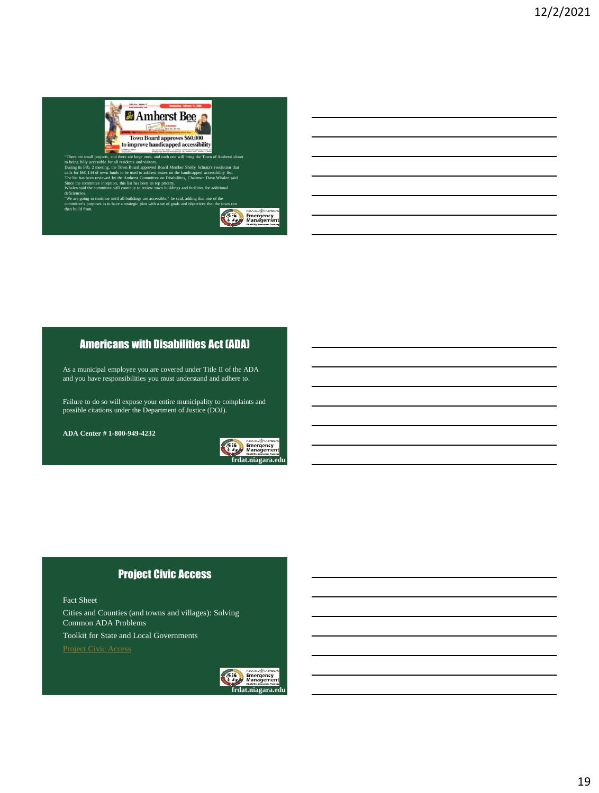

"There are small projects, and there are large ones, and each one will bring the Town of Amherst closer<br>to being fully accessible for all residents and visitors.<br>During its Feb. 2 meeting, the Town Board approved Board Mem Since the committee inception, this list has been its top priority. Whalen said the committee will continue to review town buildings and facilities for additional deficiencies. "We are going to continue until all buildings are accessible," he said, adding that one of the committee's purposes is to have a strategic plan with a set of goals and objectives that the town can

then build from. **Exercise Services**<br> **Exercise Services**<br> **Exercise Services** 

## Americans with Disabilities Act (ADA)

As a municipal employee you are covered under Title II of the ADA and you have responsibilities you must understand and adhere to.

Failure to do so will expose your entire municipality to complaints and possible citations under the Department of Justice (DOJ).

**ADA Center # 1-800-949-4232**



## Project Civic Access

Fact Sheet

Cities and Counties (and towns and villages): Solving Common ADA Problems

Toolkit for State and Local Governments

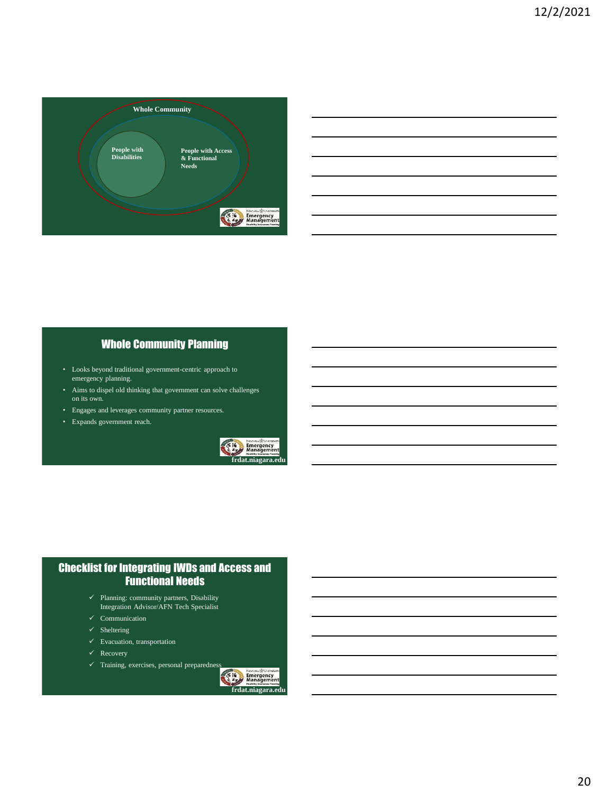

| <b>Whole Community Planning</b> |  |
|---------------------------------|--|
|                                 |  |

- Looks beyond traditional government-centric approach to emergency planning.
- Aims to dispel old thinking that government can solve challenges on its own.
- Engages and leverages community partner resources.
- Expands government reach.



## Checklist for Integrating IWDs and Access and Functional Needs

- $\checkmark$  Planning: community partners, Disability Integration Advisor/AFN Tech Specialist
- $\checkmark$  Communication
- $\checkmark$  Sheltering
- $\checkmark$  Evacuation, transportation
- $\sqrt{\phantom{1}}$  Recovery
- 

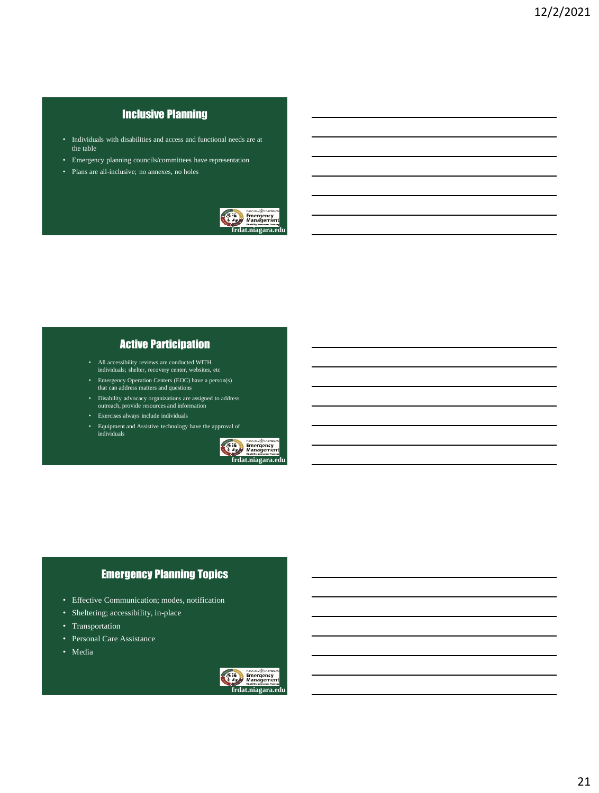## Inclusive Planning

- Individuals with disabilities and access and functional needs are at the table
- Emergency planning councils/committees have representation
- Plans are all-inclusive; no annexes, no holes



## Active Participation

- All accessibility reviews are conducted WITH individuals; shelter, recovery center, websites, etc
- Emergency Operation Centers (EOC) have a person(s) that can address matters and questions
- Disability advocacy organizations are assigned to address outreach, provide resources and information
- Exercises always include individuals
- Equipment and Assistive technology have the approval of individuals



## Emergency Planning Topics

- Effective Communication; modes, notification
- Sheltering; accessibility, in-place
- Transportation
- Personal Care Assistance
- Media

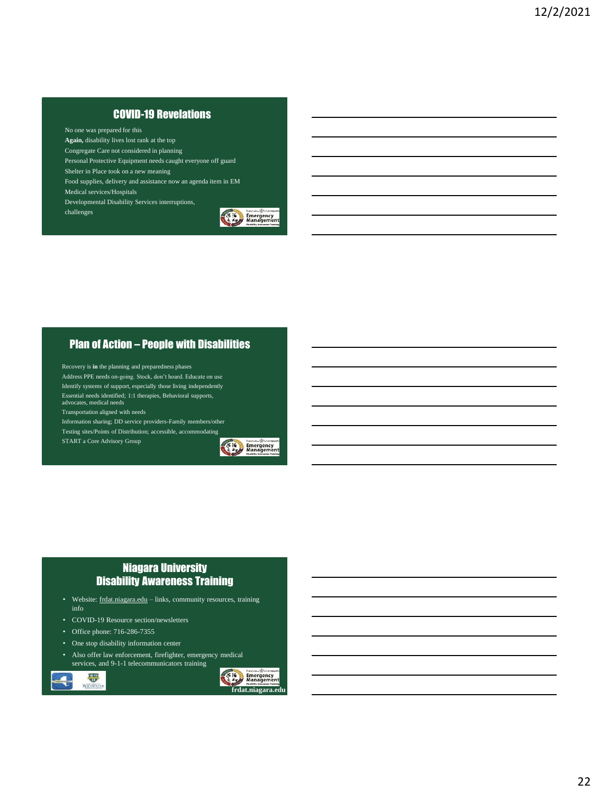## COVID-19 Revelations

No one was prepared for this

**Again,** disability lives lost rank at the top

Congregate Care not considered in planning

Personal Protective Equipment needs caught everyone off guard Shelter in Place took on a new meaning

Food supplies, delivery and assistance now an agenda item in EM Medical services/Hospitals

Developmental Disability Services interruptions,

challenges



### Plan of Action – People with Disabilities

Recovery is **in** the planning and preparedness phases Address PPE needs on-going. Stock, don't hoard. Educate on use Identify systems of support, especially those living independently Essential needs identified; 1:1 therapies, Behavioral supports, advocates, medical needs Transportation aligned with needs Information sharing; DD service providers-Family members/other Testing sites/Points of Distribution; accessible, accommodating START a Core Advisory Group



## Niagara University Disability Awareness Training

- Website: frdat.niagara.edu links, community resources, training info
- COVID-19 Resource section/newsletters
- Office phone: 716-286-7355

 $rac{60}{x}$ 

Rochest

- One stop disability information center
- Also offer law enforcement, firefighter, emergency medical services, and 9-1-1 telecommunicators training